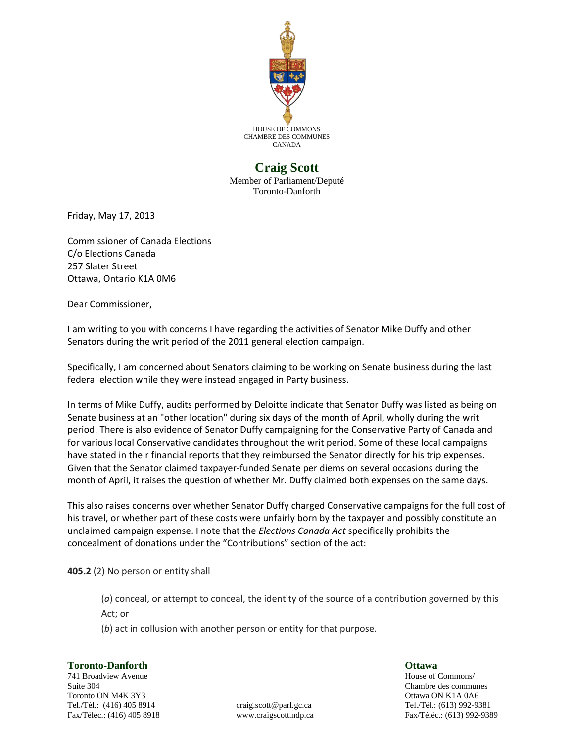

## **Craig Scott**

Member of Parliament/Deputé Toronto-Danforth

Friday, May 17, 2013

Commissioner of Canada Elections C/o Elections Canada 257 Slater Street Ottawa, Ontario K1A 0M6

Dear Commissioner,

I am writing to you with concerns I have regarding the activities of Senator Mike Duffy and other Senators during the writ period of the 2011 general election campaign.

Specifically, I am concerned about Senators claiming to be working on Senate business during the last federal election while they were instead engaged in Party business.

In terms of Mike Duffy, audits performed by Deloitte indicate that Senator Duffy was listed as being on Senate business at an "other location" during six days of the month of April, wholly during the writ period. There is also evidence of Senator Duffy campaigning for the Conservative Party of Canada and for various local Conservative candidates throughout the writ period. Some of these local campaigns have stated in their financial reports that they reimbursed the Senator directly for his trip expenses. Given that the Senator claimed taxpayer-funded Senate per diems on several occasions during the month of April, it raises the question of whether Mr. Duffy claimed both expenses on the same days.

This also raises concerns over whether Senator Duffy charged Conservative campaigns for the full cost of his travel, or whether part of these costs were unfairly born by the taxpayer and possibly constitute an unclaimed campaign expense. I note that the *Elections Canada Act* specifically prohibits the concealment of donations under the "Contributions" section of the act:

**405.2** (2) No person or entity shall

(*a*) conceal, or attempt to conceal, the identity of the source of a contribution governed by this Act; or

(*b*) act in collusion with another person or entity for that purpose.

**Toronto-Danforth Ottawa** 741 Broadview Avenue **House of Commons**/ Suite 304 Chambre des communes Toronto ON M4K 3Y3 Ottawa ON K1A 0A6 Tel./Tél.: (416) 405 8914 craig.scott@parl.gc.ca Tel./Tél.: (613) 992-9381

Fax/Téléc.: (416) 405 8918 www.craigscott.ndp.ca Fax/Téléc.: (613) 992-9389